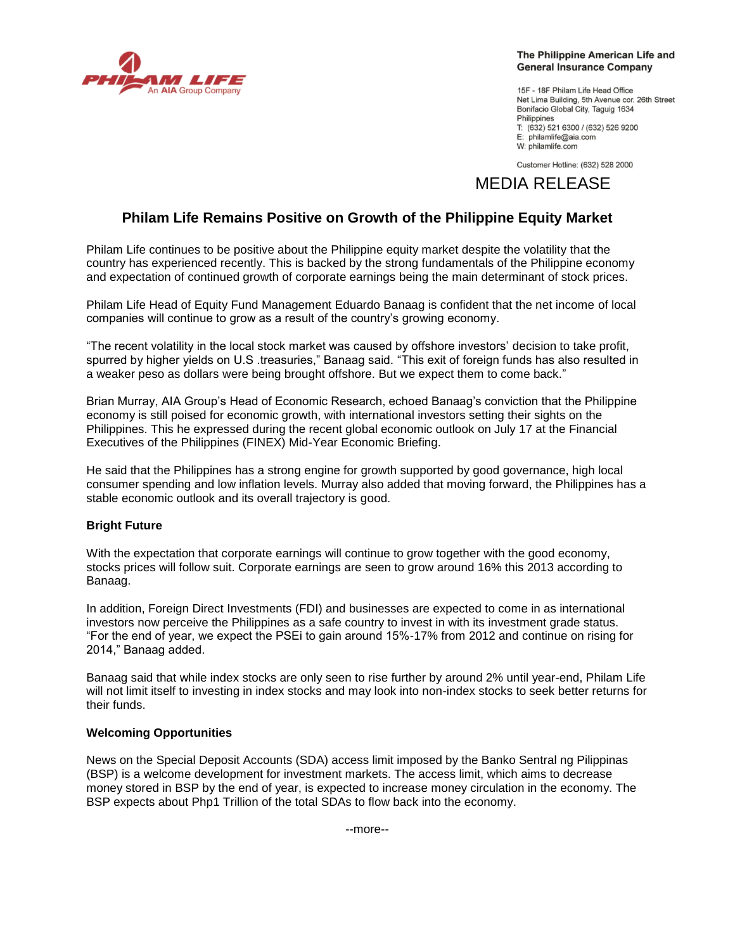

#### The Philippine American Life and **General Insurance Company**

15F - 18F Philam Life Head Office Net Lima Building, 5th Avenue cor. 26th Street Bonifacio Global City, Taquig 1634 Philippines T: (632) 521 6300 / (632) 526 9200 E: philamlife@aia.com W: philamlife.com

Customer Hotline: (632) 528 2000

# MEDIA RELEASE

## **Philam Life Remains Positive on Growth of the Philippine Equity Market**

Philam Life continues to be positive about the Philippine equity market despite the volatility that the country has experienced recently. This is backed by the strong fundamentals of the Philippine economy and expectation of continued growth of corporate earnings being the main determinant of stock prices.

Philam Life Head of Equity Fund Management Eduardo Banaag is confident that the net income of local companies will continue to grow as a result of the country's growing economy.

"The recent volatility in the local stock market was caused by offshore investors' decision to take profit, spurred by higher yields on U.S .treasuries," Banaag said. "This exit of foreign funds has also resulted in a weaker peso as dollars were being brought offshore. But we expect them to come back."

Brian Murray, AIA Group's Head of Economic Research, echoed Banaag's conviction that the Philippine economy is still poised for economic growth, with international investors setting their sights on the Philippines. This he expressed during the recent global economic outlook on July 17 at the Financial Executives of the Philippines (FINEX) Mid-Year Economic Briefing.

He said that the Philippines has a strong engine for growth supported by good governance, high local consumer spending and low inflation levels. Murray also added that moving forward, the Philippines has a stable economic outlook and its overall trajectory is good.

## **Bright Future**

With the expectation that corporate earnings will continue to grow together with the good economy, stocks prices will follow suit. Corporate earnings are seen to grow around 16% this 2013 according to Banaag.

In addition, Foreign Direct Investments (FDI) and businesses are expected to come in as international investors now perceive the Philippines as a safe country to invest in with its investment grade status. "For the end of year, we expect the PSEi to gain around 15%-17% from 2012 and continue on rising for 2014," Banaag added.

Banaag said that while index stocks are only seen to rise further by around 2% until year-end, Philam Life will not limit itself to investing in index stocks and may look into non-index stocks to seek better returns for their funds.

## **Welcoming Opportunities**

News on the Special Deposit Accounts (SDA) access limit imposed by the Banko Sentral ng Pilippinas (BSP) is a welcome development for investment markets. The access limit, which aims to decrease money stored in BSP by the end of year, is expected to increase money circulation in the economy. The BSP expects about Php1 Trillion of the total SDAs to flow back into the economy.

--more--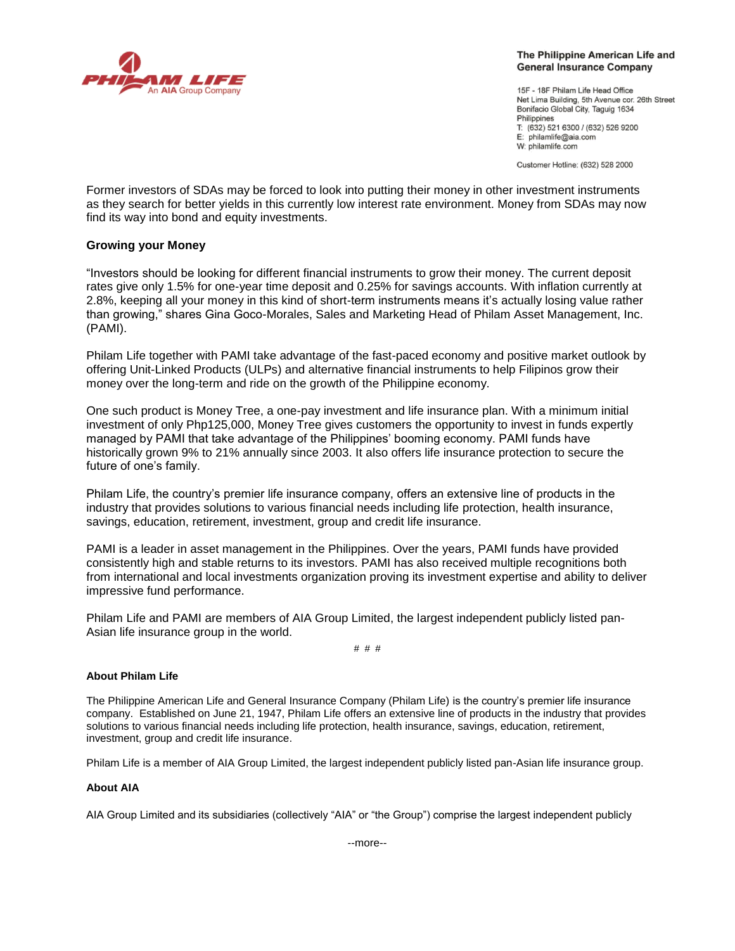

#### The Philippine American Life and **General Insurance Company**

15F - 18F Philam Life Head Office Net Lima Building, 5th Avenue cor. 26th Street Bonifacio Global City, Taquig 1634 Philippines T: (632) 521 6300 / (632) 526 9200 E: philamlife@aia.com W: philamlife.com

Customer Hotline: (632) 528 2000

Former investors of SDAs may be forced to look into putting their money in other investment instruments as they search for better yields in this currently low interest rate environment. Money from SDAs may now find its way into bond and equity investments.

## **Growing your Money**

"Investors should be looking for different financial instruments to grow their money. The current deposit rates give only 1.5% for one-year time deposit and 0.25% for savings accounts. With inflation currently at 2.8%, keeping all your money in this kind of short-term instruments means it's actually losing value rather than growing," shares Gina Goco-Morales, Sales and Marketing Head of Philam Asset Management, Inc. (PAMI).

Philam Life together with PAMI take advantage of the fast-paced economy and positive market outlook by offering Unit-Linked Products (ULPs) and alternative financial instruments to help Filipinos grow their money over the long-term and ride on the growth of the Philippine economy.

One such product is Money Tree, a one-pay investment and life insurance plan. With a minimum initial investment of only Php125,000, Money Tree gives customers the opportunity to invest in funds expertly managed by PAMI that take advantage of the Philippines' booming economy. PAMI funds have historically grown 9% to 21% annually since 2003. It also offers life insurance protection to secure the future of one's family.

Philam Life, the country's premier life insurance company, offers an extensive line of products in the industry that provides solutions to various financial needs including life protection, health insurance, savings, education, retirement, investment, group and credit life insurance.

PAMI is a leader in asset management in the Philippines. Over the years, PAMI funds have provided consistently high and stable returns to its investors. PAMI has also received multiple recognitions both from international and local investments organization proving its investment expertise and ability to deliver impressive fund performance.

Philam Life and PAMI are members of AIA Group Limited, the largest independent publicly listed pan-Asian life insurance group in the world.

# # #

## **About Philam Life**

The Philippine American Life and General Insurance Company (Philam Life) is the country's premier life insurance company. Established on June 21, 1947, Philam Life offers an extensive line of products in the industry that provides solutions to various financial needs including life protection, health insurance, savings, education, retirement, investment, group and credit life insurance.

Philam Life is a member of AIA Group Limited, the largest independent publicly listed pan-Asian life insurance group.

## **About AIA**

AIA Group Limited and its subsidiaries (collectively "AIA" or "the Group") comprise the largest independent publicly